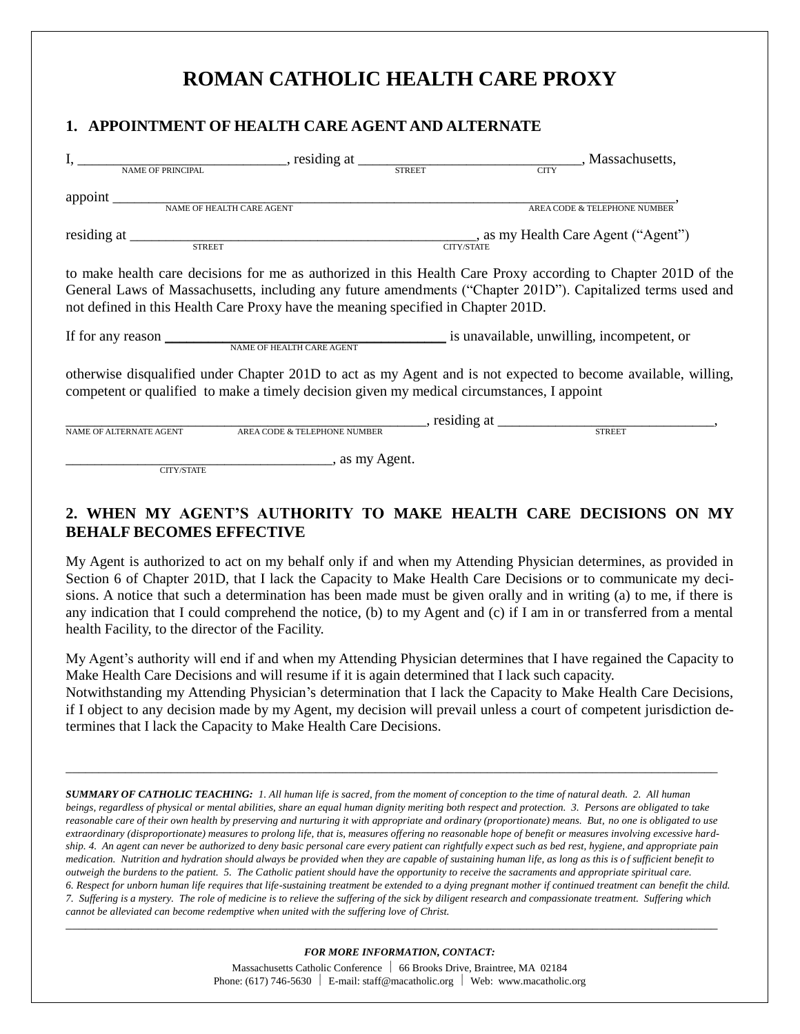# **ROMAN CATHOLIC HEALTH CARE PROXY**

# **1. APPOINTMENT OF HEALTH CARE AGENT AND ALTERNATE**

|                                                                                                                                                                                                              | I, NAME OF PRINCIPAL street street street street street streets,                                                                                                                                                                                                                                                  |                                                                                               |                              |  |
|--------------------------------------------------------------------------------------------------------------------------------------------------------------------------------------------------------------|-------------------------------------------------------------------------------------------------------------------------------------------------------------------------------------------------------------------------------------------------------------------------------------------------------------------|-----------------------------------------------------------------------------------------------|------------------------------|--|
|                                                                                                                                                                                                              |                                                                                                                                                                                                                                                                                                                   |                                                                                               |                              |  |
|                                                                                                                                                                                                              |                                                                                                                                                                                                                                                                                                                   |                                                                                               |                              |  |
|                                                                                                                                                                                                              |                                                                                                                                                                                                                                                                                                                   |                                                                                               | AREA CODE & TELEPHONE NUMBER |  |
|                                                                                                                                                                                                              |                                                                                                                                                                                                                                                                                                                   |                                                                                               |                              |  |
|                                                                                                                                                                                                              | to make health care decisions for me as authorized in this Health Care Proxy according to Chapter 201D of the<br>General Laws of Massachusetts, including any future amendments ("Chapter 201D"). Capitalized terms used and<br>not defined in this Health Care Proxy have the meaning specified in Chapter 201D. |                                                                                               |                              |  |
|                                                                                                                                                                                                              |                                                                                                                                                                                                                                                                                                                   | If for any reason <u>NAME OF HEALTH CARE AGENT</u> is unavailable, unwilling, incompetent, or |                              |  |
| otherwise disqualified under Chapter 201D to act as my Agent and is not expected to become available, willing,<br>competent or qualified to make a timely decision given my medical circumstances, I appoint |                                                                                                                                                                                                                                                                                                                   |                                                                                               |                              |  |
| NAME OF ALTERNATE AGENT                                                                                                                                                                                      | $\overline{\text{AREA CODE}~\&~\text{TELEPHONE NUMBER}}$                                                                                                                                                                                                                                                          | siding at STREET                                                                              |                              |  |
| <b>CITY/STATE</b>                                                                                                                                                                                            | ___________, as my Agent.                                                                                                                                                                                                                                                                                         |                                                                                               |                              |  |

# **2. WHEN MY AGENT'S AUTHORITY TO MAKE HEALTH CARE DECISIONS ON MY BEHALF BECOMES EFFECTIVE**

My Agent is authorized to act on my behalf only if and when my Attending Physician determines, as provided in Section 6 of Chapter 201D, that I lack the Capacity to Make Health Care Decisions or to communicate my decisions. A notice that such a determination has been made must be given orally and in writing (a) to me, if there is any indication that I could comprehend the notice, (b) to my Agent and (c) if I am in or transferred from a mental health Facility, to the director of the Facility.

My Agent's authority will end if and when my Attending Physician determines that I have regained the Capacity to Make Health Care Decisions and will resume if it is again determined that I lack such capacity.

Notwithstanding my Attending Physician's determination that I lack the Capacity to Make Health Care Decisions, if I object to any decision made by my Agent, my decision will prevail unless a court of competent jurisdiction determines that I lack the Capacity to Make Health Care Decisions.

*\_\_\_\_\_\_\_\_\_\_\_\_\_\_\_\_\_\_\_\_\_\_\_\_\_\_\_\_\_\_\_\_\_\_\_\_\_\_\_\_\_\_\_\_\_\_\_\_\_\_\_\_\_\_\_\_\_\_\_\_\_\_\_\_\_\_\_\_\_\_\_\_\_\_\_\_\_\_\_\_\_\_\_\_\_\_\_\_\_\_\_\_\_\_\_\_\_\_\_*

*SUMMARY OF CATHOLIC TEACHING: 1. All human life is sacred, from the moment of conception to the time of natural death. 2. All human beings, regardless of physical or mental abilities, share an equal human dignity meriting both respect and protection. 3. Persons are obligated to take reasonable care of their own health by preserving and nurturing it with appropriate and ordinary (proportionate) means. But, no one is obligated to use extraordinary (disproportionate) measures to prolong life, that is, measures offering no reasonable hope of benefit or measures involving excessive hardship. 4. An agent can never be authorized to deny basic personal care every patient can rightfully expect such as bed rest, hygiene, and appropriate pain medication. Nutrition and hydration should always be provided when they are capable of sustaining human life, as long as this is o f sufficient benefit to outweigh the burdens to the patient. 5. The Catholic patient should have the opportunity to receive the sacraments and appropriate spiritual care. 6. Respect for unborn human life requires that life-sustaining treatment be extended to a dying pregnant mother if continued treatment can benefit the child. 7. Suffering is a mystery. The role of medicine is to relieve the suffering of the sick by diligent research and compassionate treatment. Suffering which cannot be alleviated can become redemptive when united with the suffering love of Christ. \_\_\_\_\_\_\_\_\_\_\_\_\_\_\_\_\_\_\_\_\_\_\_\_\_\_\_\_\_\_\_\_\_\_\_\_\_\_\_\_\_\_\_\_\_\_\_\_\_\_\_\_\_\_\_\_\_\_\_\_\_\_\_\_\_\_\_\_\_\_\_\_\_\_\_\_\_\_\_\_\_\_\_\_\_\_\_\_\_\_\_\_\_\_\_\_\_\_\_*

*FOR MORE INFORMATION, CONTACT:*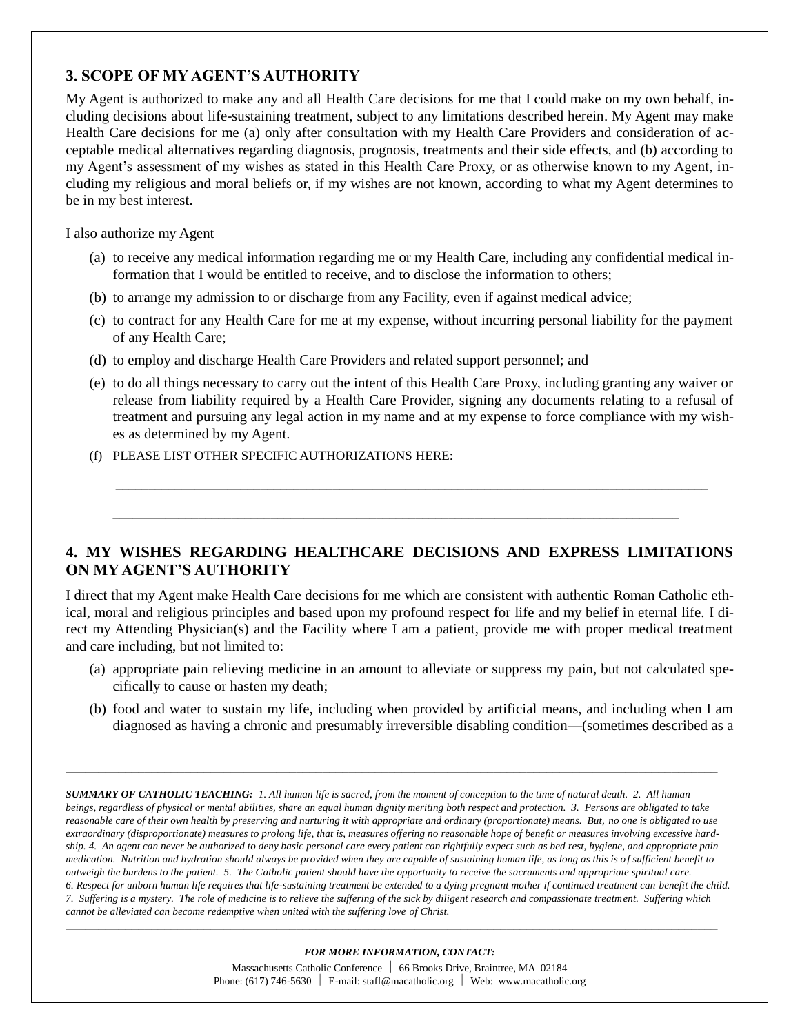## **3. SCOPE OF MY AGENT'S AUTHORITY**

My Agent is authorized to make any and all Health Care decisions for me that I could make on my own behalf, including decisions about life-sustaining treatment, subject to any limitations described herein. My Agent may make Health Care decisions for me (a) only after consultation with my Health Care Providers and consideration of acceptable medical alternatives regarding diagnosis, prognosis, treatments and their side effects, and (b) according to my Agent's assessment of my wishes as stated in this Health Care Proxy, or as otherwise known to my Agent, including my religious and moral beliefs or, if my wishes are not known, according to what my Agent determines to be in my best interest.

I also authorize my Agent

- (a) to receive any medical information regarding me or my Health Care, including any confidential medical information that I would be entitled to receive, and to disclose the information to others;
- (b) to arrange my admission to or discharge from any Facility, even if against medical advice;
- (c) to contract for any Health Care for me at my expense, without incurring personal liability for the payment of any Health Care;
- (d) to employ and discharge Health Care Providers and related support personnel; and
- (e) to do all things necessary to carry out the intent of this Health Care Proxy, including granting any waiver or release from liability required by a Health Care Provider, signing any documents relating to a refusal of treatment and pursuing any legal action in my name and at my expense to force compliance with my wishes as determined by my Agent.
- (f) PLEASE LIST OTHER SPECIFIC AUTHORIZATIONS HERE:

# **4. MY WISHES REGARDING HEALTHCARE DECISIONS AND EXPRESS LIMITATIONS ON MY AGENT'S AUTHORITY**

 $\overline{\phantom{a}}$  ,  $\overline{\phantom{a}}$  ,  $\overline{\phantom{a}}$  ,  $\overline{\phantom{a}}$  ,  $\overline{\phantom{a}}$  ,  $\overline{\phantom{a}}$  ,  $\overline{\phantom{a}}$  ,  $\overline{\phantom{a}}$  ,  $\overline{\phantom{a}}$  ,  $\overline{\phantom{a}}$  ,  $\overline{\phantom{a}}$  ,  $\overline{\phantom{a}}$  ,  $\overline{\phantom{a}}$  ,  $\overline{\phantom{a}}$  ,  $\overline{\phantom{a}}$  ,  $\overline{\phantom{a}}$ 

\_\_\_\_\_\_\_\_\_\_\_\_\_\_\_\_\_\_\_\_\_\_\_\_\_\_\_\_\_\_\_\_\_\_\_\_\_\_\_\_\_\_\_\_\_\_\_\_\_\_\_\_\_\_\_\_\_\_\_\_\_\_\_\_\_\_\_\_\_\_\_\_\_\_\_\_\_\_\_\_\_\_\_\_\_\_

I direct that my Agent make Health Care decisions for me which are consistent with authentic Roman Catholic ethical, moral and religious principles and based upon my profound respect for life and my belief in eternal life. I direct my Attending Physician(s) and the Facility where I am a patient, provide me with proper medical treatment and care including, but not limited to:

- (a) appropriate pain relieving medicine in an amount to alleviate or suppress my pain, but not calculated specifically to cause or hasten my death;
- (b) food and water to sustain my life, including when provided by artificial means, and including when I am diagnosed as having a chronic and presumably irreversible disabling condition—(sometimes described as a

*SUMMARY OF CATHOLIC TEACHING: 1. All human life is sacred, from the moment of conception to the time of natural death. 2. All human beings, regardless of physical or mental abilities, share an equal human dignity meriting both respect and protection. 3. Persons are obligated to take reasonable care of their own health by preserving and nurturing it with appropriate and ordinary (proportionate) means. But, no one is obligated to use extraordinary (disproportionate) measures to prolong life, that is, measures offering no reasonable hope of benefit or measures involving excessive hardship. 4. An agent can never be authorized to deny basic personal care every patient can rightfully expect such as bed rest, hygiene, and appropriate pain medication. Nutrition and hydration should always be provided when they are capable of sustaining human life, as long as this is o f sufficient benefit to outweigh the burdens to the patient. 5. The Catholic patient should have the opportunity to receive the sacraments and appropriate spiritual care. 6. Respect for unborn human life requires that life-sustaining treatment be extended to a dying pregnant mother if continued treatment can benefit the child. 7. Suffering is a mystery. The role of medicine is to relieve the suffering of the sick by diligent research and compassionate treatment. Suffering which cannot be alleviated can become redemptive when united with the suffering love of Christ. \_\_\_\_\_\_\_\_\_\_\_\_\_\_\_\_\_\_\_\_\_\_\_\_\_\_\_\_\_\_\_\_\_\_\_\_\_\_\_\_\_\_\_\_\_\_\_\_\_\_\_\_\_\_\_\_\_\_\_\_\_\_\_\_\_\_\_\_\_\_\_\_\_\_\_\_\_\_\_\_\_\_\_\_\_\_\_\_\_\_\_\_\_\_\_\_\_\_\_*

*\_\_\_\_\_\_\_\_\_\_\_\_\_\_\_\_\_\_\_\_\_\_\_\_\_\_\_\_\_\_\_\_\_\_\_\_\_\_\_\_\_\_\_\_\_\_\_\_\_\_\_\_\_\_\_\_\_\_\_\_\_\_\_\_\_\_\_\_\_\_\_\_\_\_\_\_\_\_\_\_\_\_\_\_\_\_\_\_\_\_\_\_\_\_\_\_\_\_\_*

#### *FOR MORE INFORMATION, CONTACT:*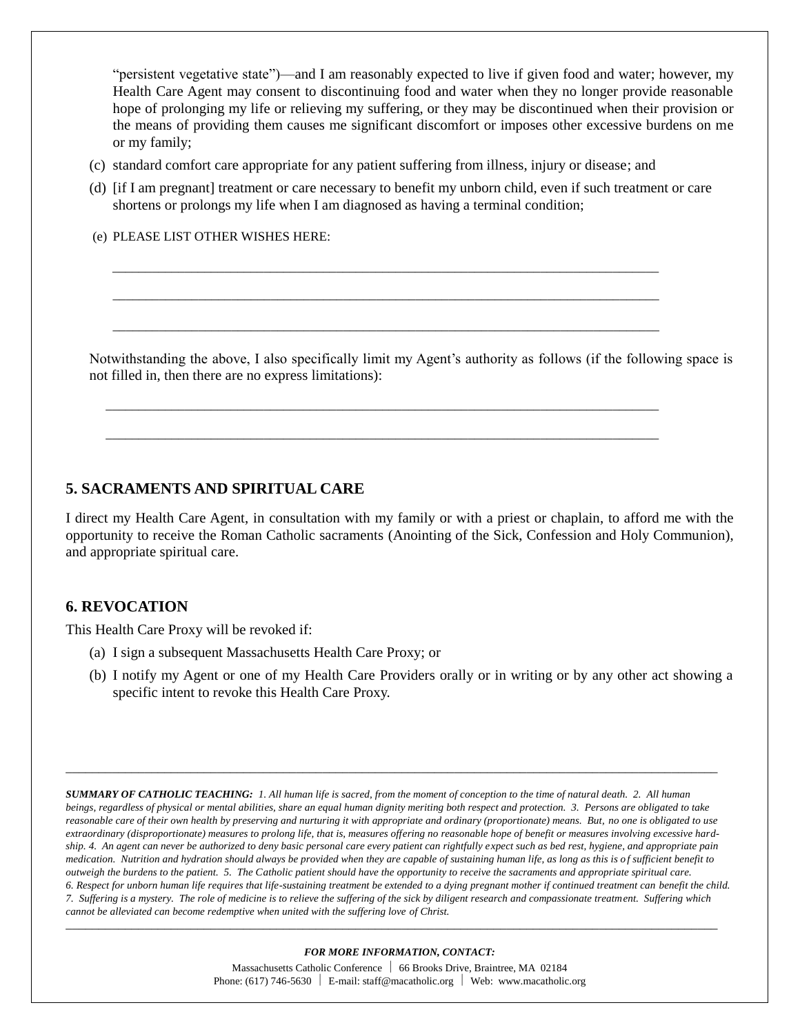"persistent vegetative state")—and I am reasonably expected to live if given food and water; however, my Health Care Agent may consent to discontinuing food and water when they no longer provide reasonable hope of prolonging my life or relieving my suffering, or they may be discontinued when their provision or the means of providing them causes me significant discomfort or imposes other excessive burdens on me or my family;

(c) standard comfort care appropriate for any patient suffering from illness, injury or disease; and

 $\mathcal{L} = \{ \mathcal{L} = \{ \mathcal{L} \mid \mathcal{L} = \{ \mathcal{L} \mid \mathcal{L} = \{ \mathcal{L} \mid \mathcal{L} = \{ \mathcal{L} \mid \mathcal{L} = \{ \mathcal{L} \mid \mathcal{L} = \{ \mathcal{L} \mid \mathcal{L} = \{ \mathcal{L} \mid \mathcal{L} = \{ \mathcal{L} \mid \mathcal{L} = \{ \mathcal{L} \mid \mathcal{L} = \{ \mathcal{L} \mid \mathcal{L} = \{ \mathcal{L} \mid \mathcal{L} = \{ \mathcal{L} \mid \mathcal{L} =$ 

 $\overline{\phantom{a}}$  ,  $\overline{\phantom{a}}$  ,  $\overline{\phantom{a}}$  ,  $\overline{\phantom{a}}$  ,  $\overline{\phantom{a}}$  ,  $\overline{\phantom{a}}$  ,  $\overline{\phantom{a}}$  ,  $\overline{\phantom{a}}$  ,  $\overline{\phantom{a}}$  ,  $\overline{\phantom{a}}$  ,  $\overline{\phantom{a}}$  ,  $\overline{\phantom{a}}$  ,  $\overline{\phantom{a}}$  ,  $\overline{\phantom{a}}$  ,  $\overline{\phantom{a}}$  ,  $\overline{\phantom{a}}$ 

\_\_\_\_\_\_\_\_\_\_\_\_\_\_\_\_\_\_\_\_\_\_\_\_\_\_\_\_\_\_\_\_\_\_\_\_\_\_\_\_\_\_\_\_\_\_\_\_\_\_\_\_\_\_\_\_\_\_\_\_\_\_\_\_\_\_\_\_\_\_\_\_\_\_\_\_\_\_\_\_\_\_\_\_

\_\_\_\_\_\_\_\_\_\_\_\_\_\_\_\_\_\_\_\_\_\_\_\_\_\_\_\_\_\_\_\_\_\_\_\_\_\_\_\_\_\_\_\_\_\_\_\_\_\_\_\_\_\_\_\_\_\_\_\_\_\_\_\_\_\_\_\_\_\_\_\_\_\_\_\_\_\_\_\_\_\_\_

\_\_\_\_\_\_\_\_\_\_\_\_\_\_\_\_\_\_\_\_\_\_\_\_\_\_\_\_\_\_\_\_\_\_\_\_\_\_\_\_\_\_\_\_\_\_\_\_\_\_\_\_\_\_\_\_\_\_\_\_\_\_\_\_\_\_\_\_\_\_\_\_\_\_\_\_\_\_\_\_\_\_\_

(d) [if I am pregnant] treatment or care necessary to benefit my unborn child, even if such treatment or care shortens or prolongs my life when I am diagnosed as having a terminal condition;

(e) PLEASE LIST OTHER WISHES HERE:

Notwithstanding the above, I also specifically limit my Agent's authority as follows (if the following space is not filled in, then there are no express limitations):

### **5. SACRAMENTS AND SPIRITUAL CARE**

I direct my Health Care Agent, in consultation with my family or with a priest or chaplain, to afford me with the opportunity to receive the Roman Catholic sacraments (Anointing of the Sick, Confession and Holy Communion), and appropriate spiritual care.

#### **6. REVOCATION**

This Health Care Proxy will be revoked if:

- (a) I sign a subsequent Massachusetts Health Care Proxy; or
- (b) I notify my Agent or one of my Health Care Providers orally or in writing or by any other act showing a specific intent to revoke this Health Care Proxy.

*SUMMARY OF CATHOLIC TEACHING: 1. All human life is sacred, from the moment of conception to the time of natural death. 2. All human beings, regardless of physical or mental abilities, share an equal human dignity meriting both respect and protection. 3. Persons are obligated to take reasonable care of their own health by preserving and nurturing it with appropriate and ordinary (proportionate) means. But, no one is obligated to use extraordinary (disproportionate) measures to prolong life, that is, measures offering no reasonable hope of benefit or measures involving excessive hardship. 4. An agent can never be authorized to deny basic personal care every patient can rightfully expect such as bed rest, hygiene, and appropriate pain medication. Nutrition and hydration should always be provided when they are capable of sustaining human life, as long as this is o f sufficient benefit to outweigh the burdens to the patient. 5. The Catholic patient should have the opportunity to receive the sacraments and appropriate spiritual care. 6. Respect for unborn human life requires that life-sustaining treatment be extended to a dying pregnant mother if continued treatment can benefit the child. 7. Suffering is a mystery. The role of medicine is to relieve the suffering of the sick by diligent research and compassionate treatment. Suffering which cannot be alleviated can become redemptive when united with the suffering love of Christ.*

*\_\_\_\_\_\_\_\_\_\_\_\_\_\_\_\_\_\_\_\_\_\_\_\_\_\_\_\_\_\_\_\_\_\_\_\_\_\_\_\_\_\_\_\_\_\_\_\_\_\_\_\_\_\_\_\_\_\_\_\_\_\_\_\_\_\_\_\_\_\_\_\_\_\_\_\_\_\_\_\_\_\_\_\_\_\_\_\_\_\_\_\_\_\_\_\_\_\_\_*

#### *FOR MORE INFORMATION, CONTACT:*

*\_\_\_\_\_\_\_\_\_\_\_\_\_\_\_\_\_\_\_\_\_\_\_\_\_\_\_\_\_\_\_\_\_\_\_\_\_\_\_\_\_\_\_\_\_\_\_\_\_\_\_\_\_\_\_\_\_\_\_\_\_\_\_\_\_\_\_\_\_\_\_\_\_\_\_\_\_\_\_\_\_\_\_\_\_\_\_\_\_\_\_\_\_\_\_\_\_\_\_*